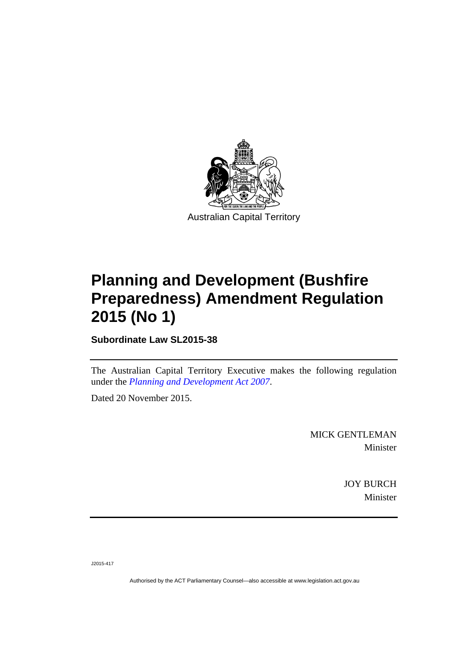

# **Planning and Development (Bushfire Preparedness) Amendment Regulation 2015 (No 1)**

**Subordinate Law SL2015-38** 

The Australian Capital Territory Executive makes the following regulation under the *[Planning and Development Act 2007](http://www.legislation.act.gov.au/a/2007-24)*.

Dated 20 November 2015.

MICK GENTLEMAN Minister

> JOY BURCH Minister

J2015-417

Authorised by the ACT Parliamentary Counsel—also accessible at www.legislation.act.gov.au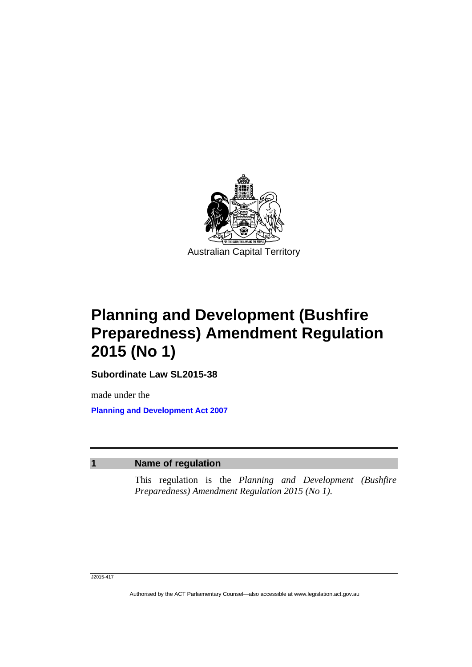

# **Planning and Development (Bushfire Preparedness) Amendment Regulation 2015 (No 1)**

**Subordinate Law SL2015-38** 

made under the **[Planning and Development Act 2007](http://www.legislation.act.gov.au/a/2007-24)**

### **1 Name of regulation**

This regulation is the *Planning and Development (Bushfire Preparedness) Amendment Regulation 2015 (No 1)*.

#### J2015-417

Authorised by the ACT Parliamentary Counsel—also accessible at www.legislation.act.gov.au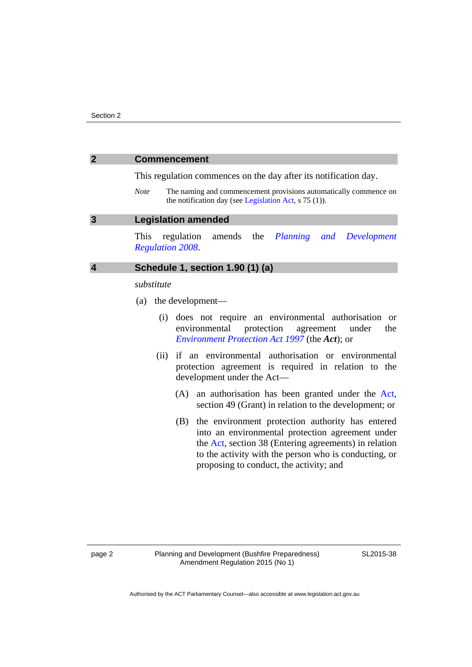### **2 Commencement**

This regulation commences on the day after its notification day.

*Note* The naming and commencement provisions automatically commence on the notification day (see [Legislation Act,](http://www.legislation.act.gov.au/a/2001-14) s 75 (1)).

#### **3 Legislation amended**

This regulation amends the *[Planning and Development](http://www.legislation.act.gov.au/sl/2008-2)  [Regulation 2008](http://www.legislation.act.gov.au/sl/2008-2)*.

## **4 Schedule 1, section 1.90 (1) (a)**

#### *substitute*

- (a) the development—
	- (i) does not require an environmental authorisation or environmental protection agreement under the *[Environment Protection Act 1997](http://www.legislation.act.gov.au/a/1997-92)* (the *Act*); or
	- (ii) if an environmental authorisation or environmental protection agreement is required in relation to the development under the Act—
		- (A) an authorisation has been granted under the [Act](http://www.legislation.act.gov.au/a/1997-92/default.asp), section 49 (Grant) in relation to the development; or
		- (B) the environment protection authority has entered into an environmental protection agreement under the [Act](http://www.legislation.act.gov.au/a/1997-92/default.asp), section 38 (Entering agreements) in relation to the activity with the person who is conducting, or proposing to conduct, the activity; and